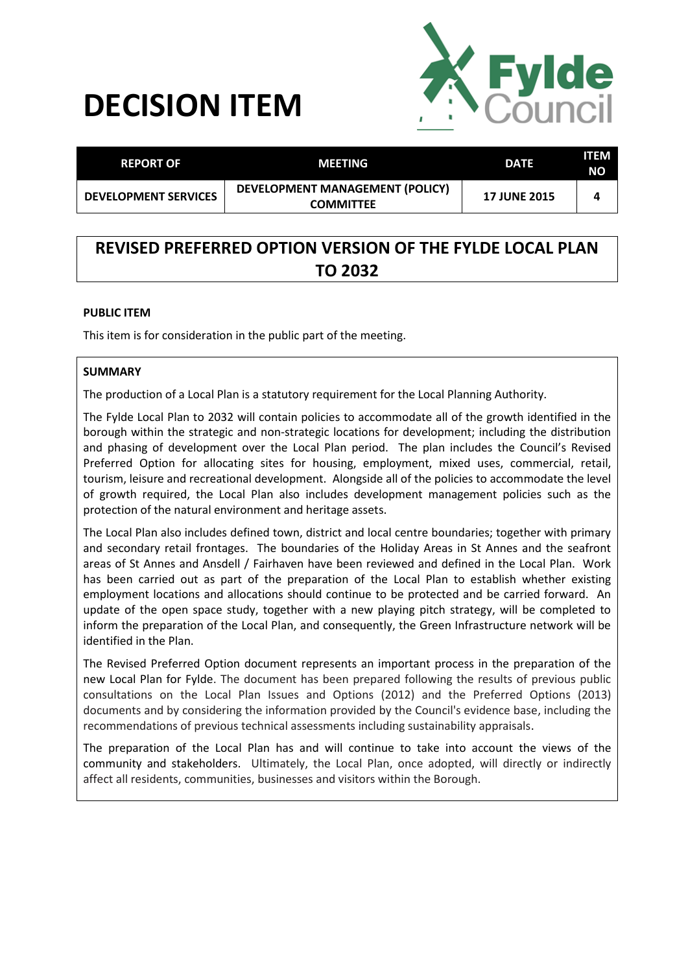# **DECISION ITEM**



| <b>REPORT OF</b>            | MEETING                                             | <b>DATE</b>         | ITEM<br><b>NO</b> |
|-----------------------------|-----------------------------------------------------|---------------------|-------------------|
| <b>DEVELOPMENT SERVICES</b> | DEVELOPMENT MANAGEMENT (POLICY)<br><b>COMMITTEE</b> | <b>17 JUNE 2015</b> |                   |

# **REVISED PREFERRED OPTION VERSION OF THE FYLDE LOCAL PLAN TO 2032**

### **PUBLIC ITEM**

This item is for consideration in the public part of the meeting.

### **SUMMARY**

The production of a Local Plan is a statutory requirement for the Local Planning Authority.

The Fylde Local Plan to 2032 will contain policies to accommodate all of the growth identified in the borough within the strategic and non-strategic locations for development; including the distribution and phasing of development over the Local Plan period. The plan includes the Council's Revised Preferred Option for allocating sites for housing, employment, mixed uses, commercial, retail, tourism, leisure and recreational development. Alongside all of the policies to accommodate the level of growth required, the Local Plan also includes development management policies such as the protection of the natural environment and heritage assets.

The Local Plan also includes defined town, district and local centre boundaries; together with primary and secondary retail frontages. The boundaries of the Holiday Areas in St Annes and the seafront areas of St Annes and Ansdell / Fairhaven have been reviewed and defined in the Local Plan. Work has been carried out as part of the preparation of the Local Plan to establish whether existing employment locations and allocations should continue to be protected and be carried forward. An update of the open space study, together with a new playing pitch strategy, will be completed to inform the preparation of the Local Plan, and consequently, the Green Infrastructure network will be identified in the Plan.

The Revised Preferred Option document represents an important process in the preparation of the new Local Plan for Fylde. The document has been prepared following the results of previous public consultations on the Local Plan Issues and Options (2012) and the Preferred Options (2013) documents and by considering the information provided by the Council's evidence base, including the recommendations of previous technical assessments including sustainability appraisals.

The preparation of the Local Plan has and will continue to take into account the views of the community and stakeholders. Ultimately, the Local Plan, once adopted, will directly or indirectly affect all residents, communities, businesses and visitors within the Borough.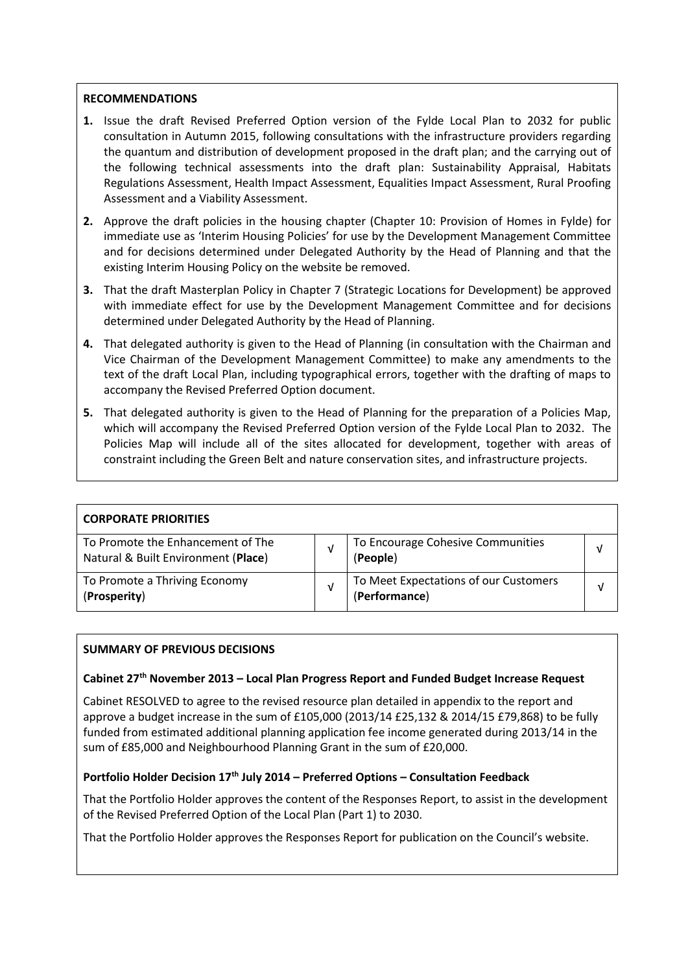### **RECOMMENDATIONS**

- **1.** Issue the draft Revised Preferred Option version of the Fylde Local Plan to 2032 for public consultation in Autumn 2015, following consultations with the infrastructure providers regarding the quantum and distribution of development proposed in the draft plan; and the carrying out of the following technical assessments into the draft plan: Sustainability Appraisal, Habitats Regulations Assessment, Health Impact Assessment, Equalities Impact Assessment, Rural Proofing Assessment and a Viability Assessment.
- **2.** Approve the draft policies in the housing chapter (Chapter 10: Provision of Homes in Fylde) for immediate use as 'Interim Housing Policies' for use by the Development Management Committee and for decisions determined under Delegated Authority by the Head of Planning and that the existing Interim Housing Policy on the website be removed.
- **3.** That the draft Masterplan Policy in Chapter 7 (Strategic Locations for Development) be approved with immediate effect for use by the Development Management Committee and for decisions determined under Delegated Authority by the Head of Planning.
- **4.** That delegated authority is given to the Head of Planning (in consultation with the Chairman and Vice Chairman of the Development Management Committee) to make any amendments to the text of the draft Local Plan, including typographical errors, together with the drafting of maps to accompany the Revised Preferred Option document.
- **5.** That delegated authority is given to the Head of Planning for the preparation of a Policies Map, which will accompany the Revised Preferred Option version of the Fylde Local Plan to 2032. The Policies Map will include all of the sites allocated for development, together with areas of constraint including the Green Belt and nature conservation sites, and infrastructure projects.

| <b>CORPORATE PRIORITIES</b>                                              |   |                                                        |  |
|--------------------------------------------------------------------------|---|--------------------------------------------------------|--|
| To Promote the Enhancement of The<br>Natural & Built Environment (Place) | ν | To Encourage Cohesive Communities<br>(People)          |  |
| To Promote a Thriving Economy<br>(Prosperity)                            | ν | To Meet Expectations of our Customers<br>(Performance) |  |

# **SUMMARY OF PREVIOUS DECISIONS**

#### **Cabinet 27th November 2013 – Local Plan Progress Report and Funded Budget Increase Request**

Cabinet RESOLVED to agree to the revised resource plan detailed in appendix to the report and approve a budget increase in the sum of £105,000 (2013/14 £25,132 & 2014/15 £79,868) to be fully funded from estimated additional planning application fee income generated during 2013/14 in the sum of £85,000 and Neighbourhood Planning Grant in the sum of £20,000.

## **Portfolio Holder Decision 17th July 2014 – Preferred Options – Consultation Feedback**

That the Portfolio Holder approves the content of the Responses Report, to assist in the development of the Revised Preferred Option of the Local Plan (Part 1) to 2030.

That the Portfolio Holder approves the Responses Report for publication on the Council's website.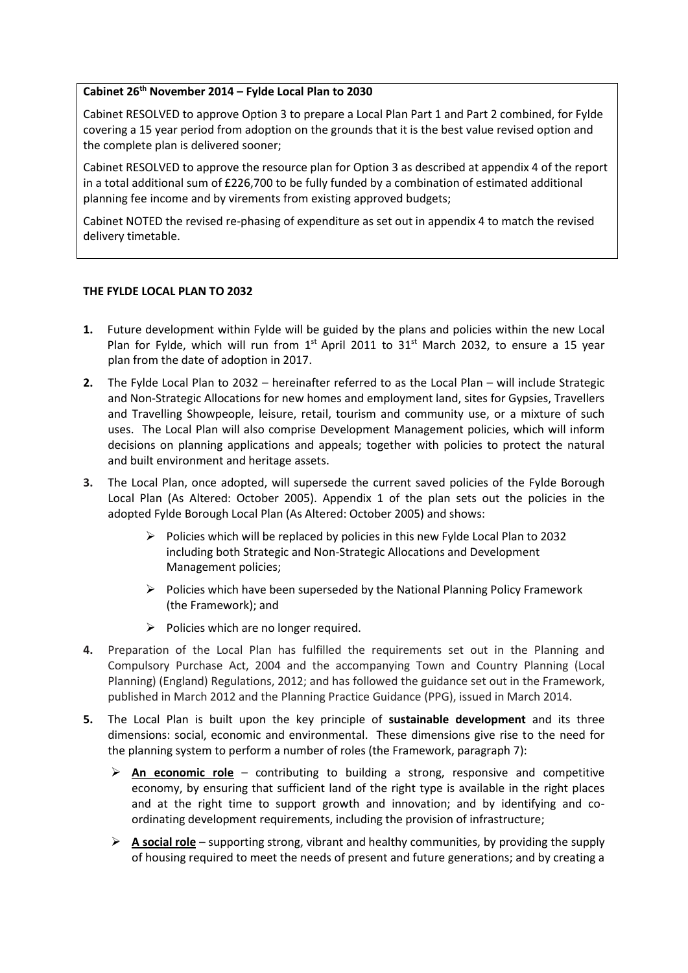#### **Cabinet 26th November 2014 – Fylde Local Plan to 2030**

Cabinet RESOLVED to approve Option 3 to prepare a Local Plan Part 1 and Part 2 combined, for Fylde covering a 15 year period from adoption on the grounds that it is the best value revised option and the complete plan is delivered sooner;

Cabinet RESOLVED to approve the resource plan for Option 3 as described at appendix 4 of the report in a total additional sum of £226,700 to be fully funded by a combination of estimated additional planning fee income and by virements from existing approved budgets;

Cabinet NOTED the revised re-phasing of expenditure as set out in appendix 4 to match the revised delivery timetable.

#### **THE FYLDE LOCAL PLAN TO 2032**

- **1.** Future development within Fylde will be guided by the plans and policies within the new Local Plan for Fylde, which will run from  $1<sup>st</sup>$  April 2011 to  $31<sup>st</sup>$  March 2032, to ensure a 15 year plan from the date of adoption in 2017.
- **2.** The Fylde Local Plan to 2032 hereinafter referred to as the Local Plan will include Strategic and Non-Strategic Allocations for new homes and employment land, sites for Gypsies, Travellers and Travelling Showpeople, leisure, retail, tourism and community use, or a mixture of such uses. The Local Plan will also comprise Development Management policies, which will inform decisions on planning applications and appeals; together with policies to protect the natural and built environment and heritage assets.
- **3.** The Local Plan, once adopted, will supersede the current saved policies of the Fylde Borough Local Plan (As Altered: October 2005). Appendix 1 of the plan sets out the policies in the adopted Fylde Borough Local Plan (As Altered: October 2005) and shows:
	- $\triangleright$  Policies which will be replaced by policies in this new Fylde Local Plan to 2032 including both Strategic and Non-Strategic Allocations and Development Management policies;
	- $\triangleright$  Policies which have been superseded by the National Planning Policy Framework (the Framework); and
	- $\triangleright$  Policies which are no longer required.
- **4.** Preparation of the Local Plan has fulfilled the requirements set out in the Planning and Compulsory Purchase Act, 2004 and the accompanying Town and Country Planning (Local Planning) (England) Regulations, 2012; and has followed the guidance set out in the Framework, published in March 2012 and the Planning Practice Guidance (PPG), issued in March 2014.
- **5.** The Local Plan is built upon the key principle of **sustainable development** and its three dimensions: social, economic and environmental. These dimensions give rise to the need for the planning system to perform a number of roles (the Framework, paragraph 7):
	- **An economic role** contributing to building a strong, responsive and competitive economy, by ensuring that sufficient land of the right type is available in the right places and at the right time to support growth and innovation; and by identifying and coordinating development requirements, including the provision of infrastructure;
	- **A social role** supporting strong, vibrant and healthy communities, by providing the supply of housing required to meet the needs of present and future generations; and by creating a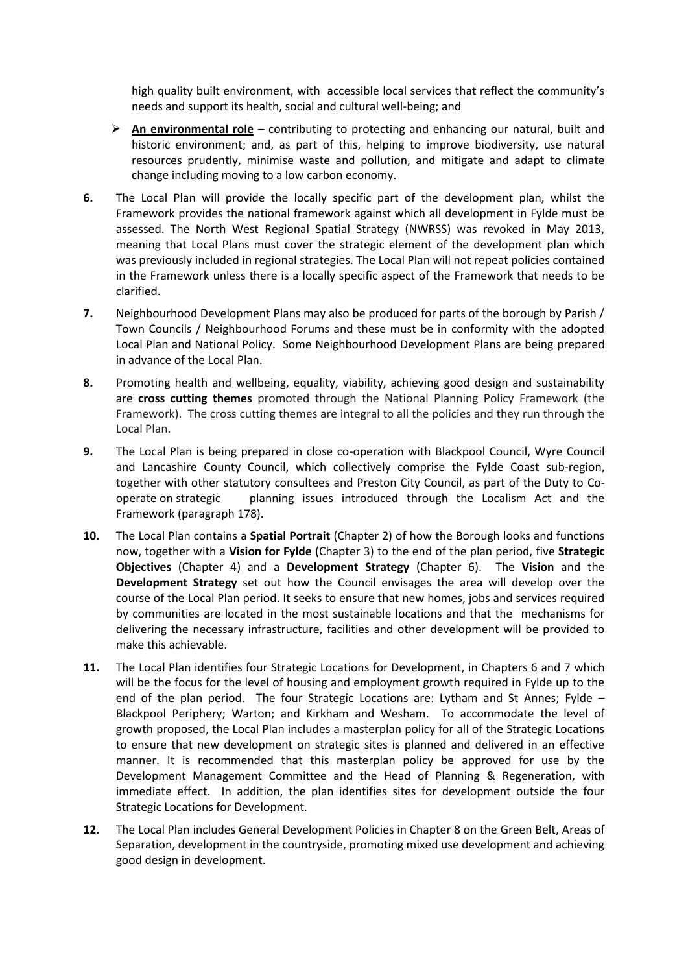high quality built environment, with accessible local services that reflect the community's needs and support its health, social and cultural well-being; and

- **An environmental role** contributing to protecting and enhancing our natural, built and historic environment; and, as part of this, helping to improve biodiversity, use natural resources prudently, minimise waste and pollution, and mitigate and adapt to climate change including moving to a low carbon economy.
- **6.** The Local Plan will provide the locally specific part of the development plan, whilst the Framework provides the national framework against which all development in Fylde must be assessed. The North West Regional Spatial Strategy (NWRSS) was revoked in May 2013, meaning that Local Plans must cover the strategic element of the development plan which was previously included in regional strategies. The Local Plan will not repeat policies contained in the Framework unless there is a locally specific aspect of the Framework that needs to be clarified.
- **7.** Neighbourhood Development Plans may also be produced for parts of the borough by Parish / Town Councils / Neighbourhood Forums and these must be in conformity with the adopted Local Plan and National Policy. Some Neighbourhood Development Plans are being prepared in advance of the Local Plan.
- **8.** Promoting health and wellbeing, equality, viability, achieving good design and sustainability are **cross cutting themes** promoted through the National Planning Policy Framework (the Framework). The cross cutting themes are integral to all the policies and they run through the Local Plan.
- **9.** The Local Plan is being prepared in close co-operation with Blackpool Council, Wyre Council and Lancashire County Council, which collectively comprise the Fylde Coast sub-region, together with other statutory consultees and Preston City Council, as part of the Duty to Cooperate on strategic planning issues introduced through the Localism Act and the Framework (paragraph 178).
- **10.** The Local Plan contains a **Spatial Portrait** (Chapter 2) of how the Borough looks and functions now, together with a **Vision for Fylde** (Chapter 3) to the end of the plan period, five **Strategic Objectives** (Chapter 4) and a **Development Strategy** (Chapter 6).The **Vision** and the **Development Strategy** set out how the Council envisages the area will develop over the course of the Local Plan period. It seeks to ensure that new homes, jobs and services required by communities are located in the most sustainable locations and that the mechanisms for delivering the necessary infrastructure, facilities and other development will be provided to make this achievable.
- **11.** The Local Plan identifies four Strategic Locations for Development, in Chapters 6 and 7 which will be the focus for the level of housing and employment growth required in Fylde up to the end of the plan period. The four Strategic Locations are: Lytham and St Annes; Fylde – Blackpool Periphery; Warton; and Kirkham and Wesham. To accommodate the level of growth proposed, the Local Plan includes a masterplan policy for all of the Strategic Locations to ensure that new development on strategic sites is planned and delivered in an effective manner. It is recommended that this masterplan policy be approved for use by the Development Management Committee and the Head of Planning & Regeneration, with immediate effect. In addition, the plan identifies sites for development outside the four Strategic Locations for Development.
- **12.** The Local Plan includes General Development Policies in Chapter 8 on the Green Belt, Areas of Separation, development in the countryside, promoting mixed use development and achieving good design in development.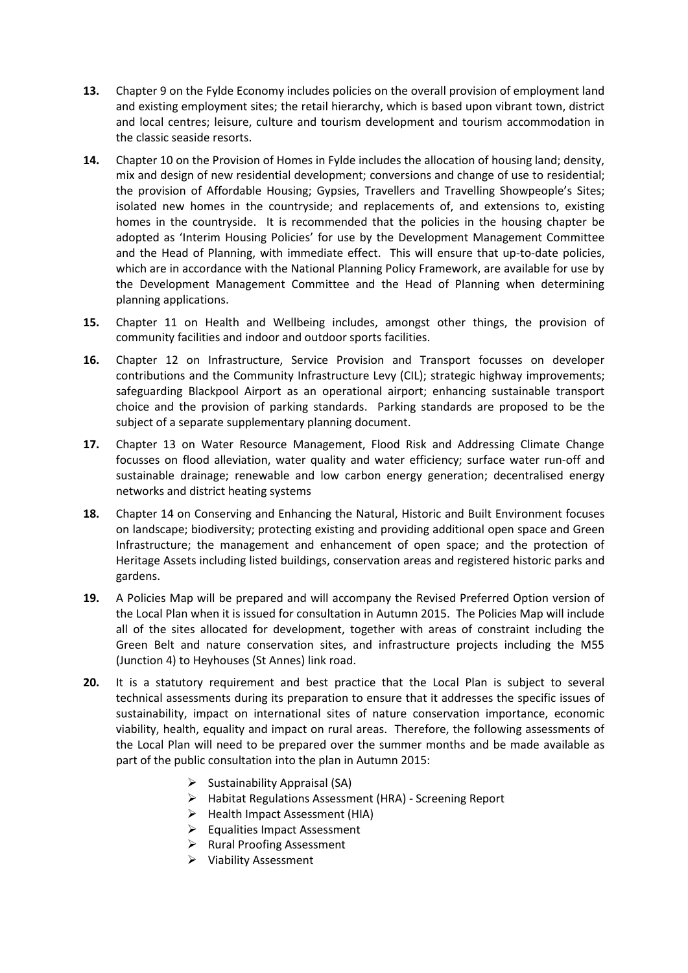- **13.** Chapter 9 on the Fylde Economy includes policies on the overall provision of employment land and existing employment sites; the retail hierarchy, which is based upon vibrant town, district and local centres; leisure, culture and tourism development and tourism accommodation in the classic seaside resorts.
- **14.** Chapter 10 on the Provision of Homes in Fylde includes the allocation of housing land; density, mix and design of new residential development; conversions and change of use to residential; the provision of Affordable Housing; Gypsies, Travellers and Travelling Showpeople's Sites; isolated new homes in the countryside; and replacements of, and extensions to, existing homes in the countryside. It is recommended that the policies in the housing chapter be adopted as 'Interim Housing Policies' for use by the Development Management Committee and the Head of Planning, with immediate effect. This will ensure that up-to-date policies, which are in accordance with the National Planning Policy Framework, are available for use by the Development Management Committee and the Head of Planning when determining planning applications.
- **15.** Chapter 11 on Health and Wellbeing includes, amongst other things, the provision of community facilities and indoor and outdoor sports facilities.
- **16.** Chapter 12 on Infrastructure, Service Provision and Transport focusses on developer contributions and the Community Infrastructure Levy (CIL); strategic highway improvements; safeguarding Blackpool Airport as an operational airport; enhancing sustainable transport choice and the provision of parking standards. Parking standards are proposed to be the subject of a separate supplementary planning document.
- 17. Chapter 13 on Water Resource Management, Flood Risk and Addressing Climate Change focusses on flood alleviation, water quality and water efficiency; surface water run-off and sustainable drainage; renewable and low carbon energy generation; decentralised energy networks and district heating systems
- **18.** Chapter 14 on Conserving and Enhancing the Natural, Historic and Built Environment focuses on landscape; biodiversity; protecting existing and providing additional open space and Green Infrastructure; the management and enhancement of open space; and the protection of Heritage Assets including listed buildings, conservation areas and registered historic parks and gardens.
- **19.** A Policies Map will be prepared and will accompany the Revised Preferred Option version of the Local Plan when it is issued for consultation in Autumn 2015. The Policies Map will include all of the sites allocated for development, together with areas of constraint including the Green Belt and nature conservation sites, and infrastructure projects including the M55 (Junction 4) to Heyhouses (St Annes) link road.
- **20.** It is a statutory requirement and best practice that the Local Plan is subject to several technical assessments during its preparation to ensure that it addresses the specific issues of sustainability, impact on international sites of nature conservation importance, economic viability, health, equality and impact on rural areas. Therefore, the following assessments of the Local Plan will need to be prepared over the summer months and be made available as part of the public consultation into the plan in Autumn 2015:
	- $\triangleright$  Sustainability Appraisal (SA)
	- Habitat Regulations Assessment (HRA) Screening Report
	- $\triangleright$  Health Impact Assessment (HIA)
	- $\triangleright$  Equalities Impact Assessment
	- $\triangleright$  Rural Proofing Assessment
	- Viability Assessment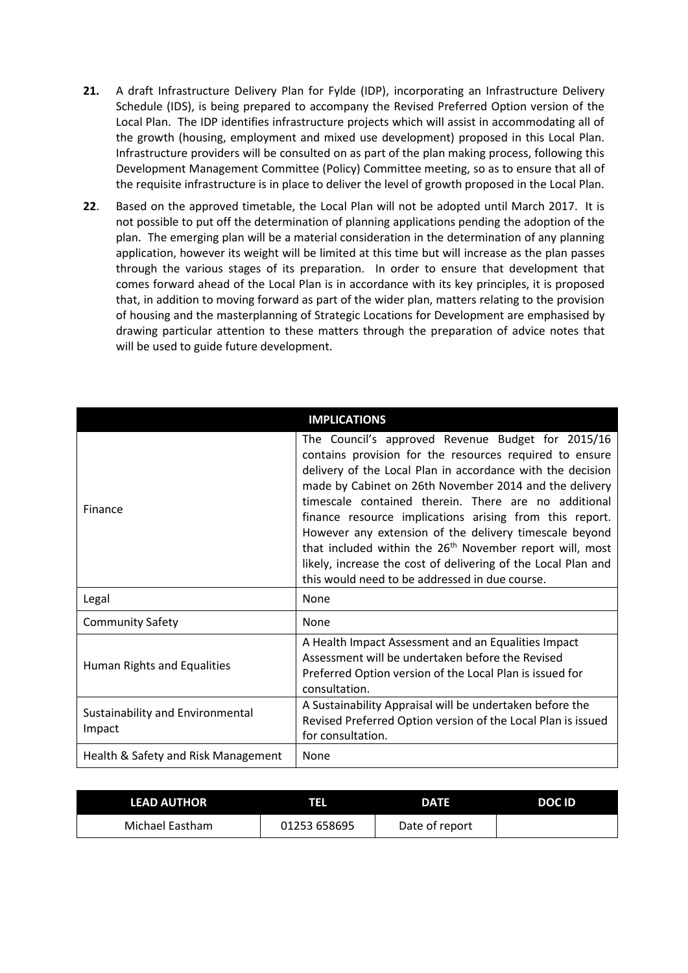- **21.** A draft Infrastructure Delivery Plan for Fylde (IDP), incorporating an Infrastructure Delivery Schedule (IDS), is being prepared to accompany the Revised Preferred Option version of the Local Plan. The IDP identifies infrastructure projects which will assist in accommodating all of the growth (housing, employment and mixed use development) proposed in this Local Plan. Infrastructure providers will be consulted on as part of the plan making process, following this Development Management Committee (Policy) Committee meeting, so as to ensure that all of the requisite infrastructure is in place to deliver the level of growth proposed in the Local Plan.
- **22**. Based on the approved timetable, the Local Plan will not be adopted until March 2017. It is not possible to put off the determination of planning applications pending the adoption of the plan. The emerging plan will be a material consideration in the determination of any planning application, however its weight will be limited at this time but will increase as the plan passes through the various stages of its preparation. In order to ensure that development that comes forward ahead of the Local Plan is in accordance with its key principles, it is proposed that, in addition to moving forward as part of the wider plan, matters relating to the provision of housing and the masterplanning of Strategic Locations for Development are emphasised by drawing particular attention to these matters through the preparation of advice notes that will be used to guide future development.

| <b>IMPLICATIONS</b>                        |                                                                                                                                                                                                                                                                                                                                                                                                                                                                                                                                                                                                              |  |  |
|--------------------------------------------|--------------------------------------------------------------------------------------------------------------------------------------------------------------------------------------------------------------------------------------------------------------------------------------------------------------------------------------------------------------------------------------------------------------------------------------------------------------------------------------------------------------------------------------------------------------------------------------------------------------|--|--|
| Finance                                    | The Council's approved Revenue Budget for 2015/16<br>contains provision for the resources required to ensure<br>delivery of the Local Plan in accordance with the decision<br>made by Cabinet on 26th November 2014 and the delivery<br>timescale contained therein. There are no additional<br>finance resource implications arising from this report.<br>However any extension of the delivery timescale beyond<br>that included within the 26 <sup>th</sup> November report will, most<br>likely, increase the cost of delivering of the Local Plan and<br>this would need to be addressed in due course. |  |  |
| Legal                                      | None                                                                                                                                                                                                                                                                                                                                                                                                                                                                                                                                                                                                         |  |  |
| <b>Community Safety</b>                    | None                                                                                                                                                                                                                                                                                                                                                                                                                                                                                                                                                                                                         |  |  |
|                                            |                                                                                                                                                                                                                                                                                                                                                                                                                                                                                                                                                                                                              |  |  |
| Human Rights and Equalities                | A Health Impact Assessment and an Equalities Impact<br>Assessment will be undertaken before the Revised<br>Preferred Option version of the Local Plan is issued for<br>consultation.                                                                                                                                                                                                                                                                                                                                                                                                                         |  |  |
| Sustainability and Environmental<br>Impact | A Sustainability Appraisal will be undertaken before the<br>Revised Preferred Option version of the Local Plan is issued<br>for consultation.                                                                                                                                                                                                                                                                                                                                                                                                                                                                |  |  |

| <b>LEAD AUTHOR</b> | ना           | <b>DATE</b>    | DOC ID |
|--------------------|--------------|----------------|--------|
| Michael Eastham    | 01253 658695 | Date of report |        |